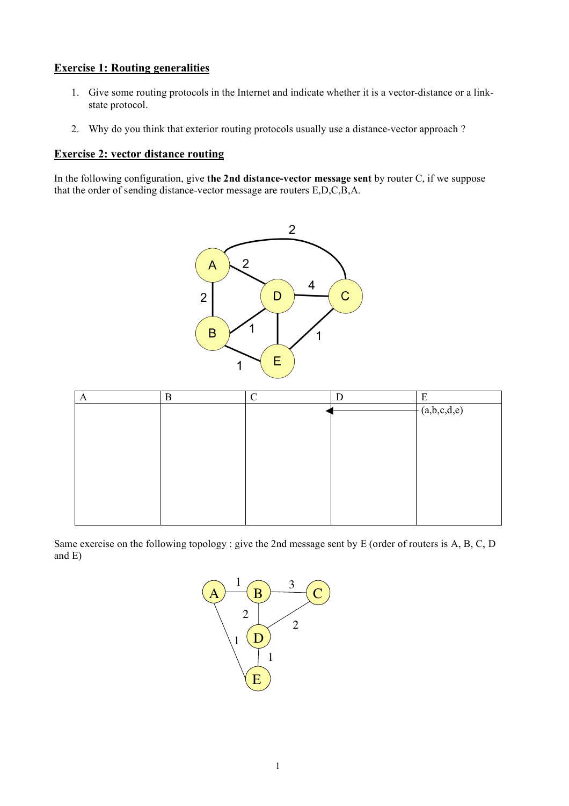## **Exercise 1: Routing generalities**

- 1. Give some routing protocols in the Internet and indicate whether it is a vector-distance or a linkstate protocol.
- 2. Why do you think that exterior routing protocols usually use a distance-vector approach ?

## **Exercise 2: vector distance routing**

In the following configuration, give **the 2nd distance-vector message sent** by router C, if we suppose that the order of sending distance-vector message are routers E,D,C,B,A.





Same exercise on the following topology : give the 2nd message sent by E (order of routers is A, B, C, D and E)

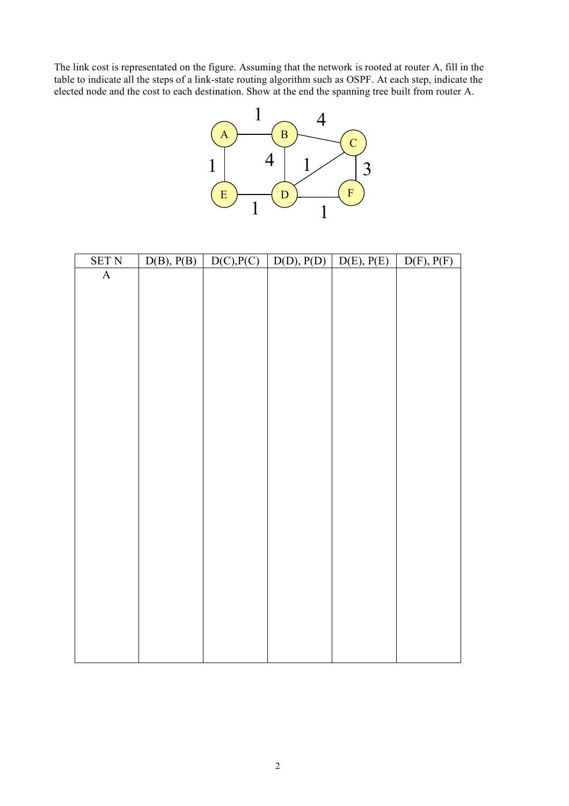The link cost is representated on the figure. Assuming that the network is rooted at router A, fill in the table to indicate all the steps of a link-state routing algorithm such as OSPF. At each step, indicate the elected node and the cost to each destination. Show at the end the spanning tree built from router A.



| <b>SET N</b> | D(B), P(B) | D(C), P(C) | D(D), P(D) | D(E), P(E) | D(F), P(F) |
|--------------|------------|------------|------------|------------|------------|
| $\mathbf A$  |            |            |            |            |            |
|              |            |            |            |            |            |
|              |            |            |            |            |            |
|              |            |            |            |            |            |
|              |            |            |            |            |            |
|              |            |            |            |            |            |
|              |            |            |            |            |            |
|              |            |            |            |            |            |
|              |            |            |            |            |            |
|              |            |            |            |            |            |
|              |            |            |            |            |            |
|              |            |            |            |            |            |
|              |            |            |            |            |            |
|              |            |            |            |            |            |
|              |            |            |            |            |            |
|              |            |            |            |            |            |
|              |            |            |            |            |            |
|              |            |            |            |            |            |
|              |            |            |            |            |            |
|              |            |            |            |            |            |
|              |            |            |            |            |            |
|              |            |            |            |            |            |
|              |            |            |            |            |            |
|              |            |            |            |            |            |
|              |            |            |            |            |            |
|              |            |            |            |            |            |
|              |            |            |            |            |            |